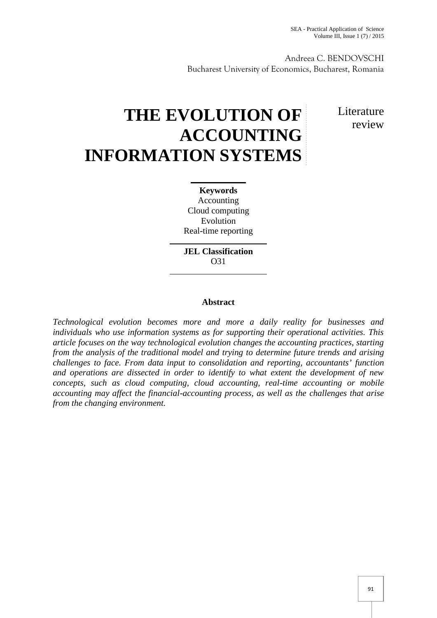Andreea C. BENDOVSCHI Bucharest University of Economics, Bucharest, Romania

# **THE EVOLUTION OF ACCOUNTING INFORMATION SYSTEMS**

**L**iterature review

**Keywords** Accounting Cloud computing Evolution Real-time reporting

**JEL Classification** O31

## **Abstract**

*Technological evolution becomes more and more a daily reality for businesses and individuals who use information systems as for supporting their operational activities. This article focuses on the way technological evolution changes the accounting practices, starting from the analysis of the traditional model and trying to determine future trends and arising challenges to face. From data input to consolidation and reporting, accountants' function and operations are dissected in order to identify to what extent the development of new concepts, such as cloud computing, cloud accounting, real-time accounting or mobile accounting may affect the financial-accounting process, as well as the challenges that arise from the changing environment.*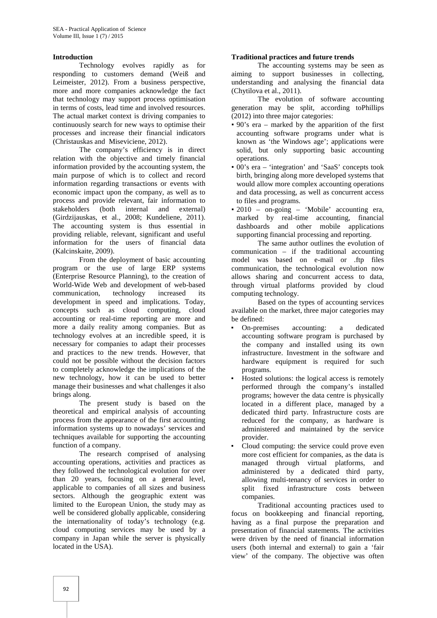#### **Introduction**

Technology evolves rapidly as for responding to customers demand (Weiß and Leimeister, 2012). From a business perspective, more and more companies acknowledge the fact that technology may support process optimisation in terms of costs, lead time and involved resources. The actual market context is driving companies to continuously search for new ways to optimise their processes and increase their financial indicators (Christauskas and Miseviciene, 2012).

The company's efficiency is in direct relation with the objective and timely financial information provided by the accounting system, the main purpose of which is to collect and record information regarding transactions or events with economic impact upon the company, as well as to process and provide relevant, fair information to stakeholders (both internal and external) (Girdzijauskas, et al., 2008; Kundeliene, 2011). The accounting system is thus essential in providing reliable, relevant, significant and useful information for the users of financial data (Kalcinskaite, 2009).

From the deployment of basic accounting program or the use of large ERP systems (Enterprise Resource Planning), to the creation of World-Wide Web and development of web-based<br>communication, technology increased its communication, technology increased its development in speed and implications. Today, concepts such as cloud computing, cloud accounting or real-time reporting are more and more a daily reality among companies. But as technology evolves at an incredible speed, it is necessary for companies to adapt their processes and practices to the new trends. However, that could not be possible without the decision factors to completely acknowledge the implications of the new technology, how it can be used to better manage their businesses and what challenges it also brings along.

The present study is based on the theoretical and empirical analysis of accounting process from the appearance of the first accounting information systems up to nowadays' services and techniques available for supporting the accounting function of a company.

The research comprised of analysing accounting operations, activities and practices as they followed the technological evolution for over than 20 years, focusing on a general level, applicable to companies of all sizes and business sectors. Although the geographic extent was limited to the European Union, the study may as well be considered globally applicable, considering the internationality of today's technology (e.g. cloud computing services may be used by a company in Japan while the server is physically located in the USA).

#### **Traditional practices and future trends**

The accounting systems may be seen as aiming to support businesses in collecting, understanding and analysing the financial data (Chytilova et al., 2011).

The evolution of software accounting generation may be split, according toPhillips (2012) into three major categories:

- 90's era marked by the apparition of the first accounting software programs under what is known as 'the Windows age'; applications were solid, but only supporting basic accounting operations.
- $00's$  era 'integration' and 'SaaS' concepts took birth, bringing along more developed systems that would allow more complex accounting operations and data processing, as well as concurrent access to files and programs.
- 2010 on-going 'Mobile' accounting era, marked by real-time accounting, financial dashboards and other mobile applications supporting financial processing and reporting.

The same author outlines the evolution of communication – if the traditional accounting model was based on e-mail or .ftp files communication, the technological evolution now allows sharing and concurrent access to data, through virtual platforms provided by cloud computing technology.

Based on the types of accounting services available on the market, three major categories may be defined:

- On-premises accounting: a dedicated accounting software program is purchased by the company and installed using its own infrastructure. Investment in the software and hardware equipment is required for such programs.
- Hosted solutions: the logical access is remotely performed through the company's installed programs; however the data centre is physically located in a different place, managed by a dedicated third party. Infrastructure costs are reduced for the company, as hardware is administered and maintained by the service provider.
- Cloud computing: the service could prove even more cost efficient for companies, as the data is managed through virtual platforms, and administered by a dedicated third party, allowing multi-tenancy of services in order to split fixed infrastructure costs between companies.

Traditional accounting practices used to focus on bookkeeping and financial reporting, having as a final purpose the preparation and presentation of financial statements. The activities were driven by the need of financial information users (both internal and external) to gain a 'fair view' of the company. The objective was often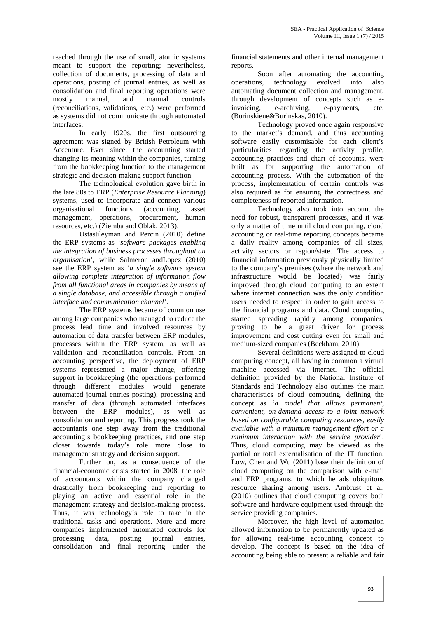reached through the use of small, atomic systems meant to support the reporting; nevertheless, collection of documents, processing of data and operations, posting of journal entries, as well as consolidation and final reporting operations were mostly manual, and manual controls (reconciliations, validations, etc.) were performed as systems did not communicate through automated interfaces.

In early 1920s, the first outsourcing agreement was signed by British Petroleum with Accenture. Ever since, the accounting started changing its meaning within the companies, turning from the bookkeeping function to the management strategic and decision-making support function.

The technological evolution gave birth in the late 80s to ERP (*Enterprise Resource Planning*) systems, used to incorporate and connect various organisational functions (accounting, asset management, operations, procurement, human resources, etc.) (Ziemba and Oblak, 2013).

Ustasüleyman and Percin (2010) define the ERP systems as '*software packages enabling the integration of business processes throughout an organisation*', while Salmeron andLopez (2010) see the ERP system as '*a single software system allowing complete integration of information flow from all functional areas in companies by means of a single database, and accessible through a unified interface and communication channel*'.

The ERP systems became of common use among large companies who managed to reduce the process lead time and involved resources by automation of data transfer between ERP modules, processes within the ERP system, as well as validation and reconciliation controls. From an accounting perspective, the deployment of ERP systems represented a major change, offering support in bookkeeping (the operations performed through different modules would generate automated journal entries posting), processing and transfer of data (through automated interfaces between the ERP modules), as well as consolidation and reporting. This progress took the accountants one step away from the traditional accounting's bookkeeping practices, and one step closer towards today's role more close to management strategy and decision support.

Further on, as a consequence of the financial-economic crisis started in 2008, the role of accountants within the company changed drastically from bookkeeping and reporting to playing an active and essential role in the management strategy and decision-making process. Thus, it was technology's role to take in the traditional tasks and operations. More and more companies implemented automated controls for processing data, posting journal entries, consolidation and final reporting under the

financial statements and other internal management reports.

Soon after automating the accounting operations, technology evolved into also automating document collection and management, through development of concepts such as ee-archiving, e-payments, etc. (Burinskiene&Burinskas, 2010).

Technology proved once again responsive to the market's demand, and thus accounting software easily customisable for each client's particularities regarding the activity profile, accounting practices and chart of accounts, were built as for supporting the automation of accounting process. With the automation of the process, implementation of certain controls was also required as for ensuring the correctness and completeness of reported information.

Technology also took into account the need for robust, transparent processes, and it was only a matter of time until cloud computing, cloud accounting or real-time reporting concepts became a daily reality among companies of all sizes, activity sectors or region/state. The access to financial information previously physically limited to the company's premises (where the network and infrastructure would be located) was fairly improved through cloud computing to an extent where internet connection was the only condition users needed to respect in order to gain access to the financial programs and data. Cloud computing started spreading rapidly among companies, proving to be a great driver for process improvement and cost cutting even for small and medium-sized companies (Beckham, 2010).

Several definitions were assigned to cloud computing concept, all having in common a virtual machine accessed via internet. The official definition provided by the National Institute of Standards and Technology also outlines the main characteristics of cloud computing, defining the concept as '*a model that allows permanent, convenient, on-demand access to a joint network based on configurable computing resources, easily available with a minimum management effort or a minimum interaction with the service provider*'. Thus, cloud computing may be viewed as the partial or total externalisation of the IT function. Low, Chen and Wu (2011) base their definition of cloud computing on the comparison with e-mail and ERP programs, to which he ads ubiquitous resource sharing among users. Ambrust et al. (2010) outlines that cloud computing covers both software and hardware equipment used through the service providing companies.

Moreover, the high level of automation allowed information to be permanently updated as for allowing real-time accounting concept to develop. The concept is based on the idea of accounting being able to present a reliable and fair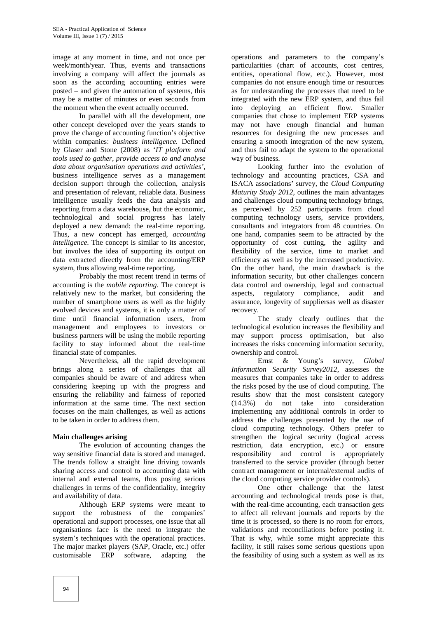image at any moment in time, and not once per week/month/year. Thus, events and transactions involving a company will affect the journals as soon as the according accounting entries were posted – and given the automation of systems, this may be a matter of minutes or even seconds from the moment when the event actually occurred.

In parallel with all the development, one other concept developed over the years stands to prove the change of accounting function's objective within companies: *business intelligence.* Defined by Glaser and Stone (2008) as '*IT platform and tools used to gather, provide access to and analyse data about organisation operations and activities'*, business intelligence serves as a management decision support through the collection, analysis and presentation of relevant, reliable data. Business intelligence usually feeds the data analysis and reporting from a data warehouse, but the economic, technological and social progress has lately deployed a new demand: the real-time reporting. Thus, a new concept has emerged, *accounting intelligence*. The concept is similar to its ancestor, but involves the idea of supporting its output on data extracted directly from the accounting/ERP system, thus allowing real-time reporting.

Probably the most recent trend in terms of accounting is the *mobile reporting*. The concept is relatively new to the market, but considering the number of smartphone users as well as the highly evolved devices and systems, it is only a matter of time until financial information users, from management and employees to investors or business partners will be using the mobile reporting facility to stay informed about the real-time financial state of companies.

Nevertheless, all the rapid development brings along a series of challenges that all companies should be aware of and address when considering keeping up with the progress and ensuring the reliability and fairness of reported information at the same time. The next section focuses on the main challenges, as well as actions to be taken in order to address them.

#### **Main challenges arising**

The evolution of accounting changes the way sensitive financial data is stored and managed. The trends follow a straight line driving towards sharing access and control to accounting data with internal and external teams, thus posing serious challenges in terms of the confidentiality, integrity and availability of data.

Although ERP systems were meant to support the robustness of the companies' operational and support processes, one issue that all organisations face is the need to integrate the system's techniques with the operational practices. The major market players (SAP, Oracle, etc.) offer customisable ERP software, adapting the

operations and parameters to the company's particularities (chart of accounts, cost centres, entities, operational flow, etc.). However, most companies do not ensure enough time or resources as for understanding the processes that need to be integrated with the new ERP system, and thus fail into deploying an efficient flow. Smaller companies that chose to implement ERP systems may not have enough financial and human resources for designing the new processes and ensuring a smooth integration of the new system, and thus fail to adapt the system to the operational way of business.

Looking further into the evolution of technology and accounting practices, CSA and ISACA associations' survey, the *Cloud Computing Maturity Study 2012*, outlines the main advantages and challenges cloud computing technology brings, as perceived by 252 participants from cloud computing technology users, service providers, consultants and integrators from 48 countries. On one hand, companies seem to be attracted by the opportunity of cost cutting, the agility and flexibility of the service, time to market and efficiency as well as by the increased productivity. On the other hand, the main drawback is the information security, but other challenges concern data control and ownership, legal and contractual aspects, regulatory compliance, audit and assurance, longevity of suppliersas well as disaster recovery.<br>The study clearly outlines that the

technological evolution increases the flexibility and may support process optimisation, but also increases the risks concerning information security, ownership and control.

Ernst & Young's survey, *Global Information Security Survey2012*, assesses the measures that companies take in order to address the risks posed by the use of cloud computing. The results show that the most consistent category (14.3%) do not take into consideration implementing any additional controls in order to address the challenges presented by the use of cloud computing technology. Others prefer to strengthen the logical security (logical access restriction, data encryption, etc.) or ensure responsibility and control is appropriately transferred to the service provider (through better contract management or internal/external audits of the cloud computing service provider controls).

One other challenge that the latest accounting and technological trends pose is that, with the real-time accounting, each transaction gets to affect all relevant journals and reports by the time it is processed, so there is no room for errors, validations and reconciliations before posting it. That is why, while some might appreciate this facility, it still raises some serious questions upon the feasibility of using such a system as well as its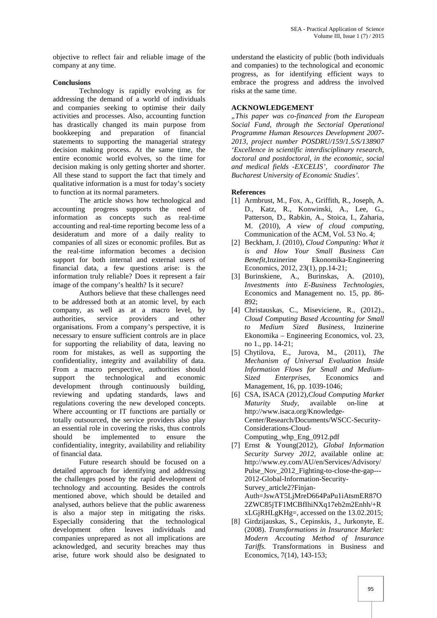objective to reflect fair and reliable image of the company at any time.

#### **Conclusions**

Technology is rapidly evolving as for addressing the demand of a world of individuals and companies seeking to optimise their daily activities and processes. Also, accounting function has drastically changed its main purpose from bookkeeping and preparation of financial statements to supporting the managerial strategy decision making process. At the same time, the entire economic world evolves, so the time for decision making is only getting shorter and shorter. All these stand to support the fact that timely and qualitative information is a must for today's society to function at its normal parameters.

The article shows how technological and accounting progress supports the need of information as concepts such as real-time accounting and real-time reporting become less of a desideratum and more of a daily reality to companies of all sizes or economic profiles. But as the real-time information becomes a decision support for both internal and external users of financial data, a few questions arise: is the information truly reliable? Does it represent a fair image of the company's health? Is it secure?

Authors believe that these challenges need to be addressed both at an atomic level, by each company, as well as at a macro level, by authorities, service providers and other organisations. From a company's perspective, it is necessary to ensure sufficient controls are in place for supporting the reliability of data, leaving no room for mistakes, as well as supporting the confidentiality, integrity and availability of data. From a macro perspective, authorities should support the technological and economic development through continuously building, reviewing and updating standards, laws and regulations covering the new developed concepts. Where accounting or IT functions are partially or totally outsourced, the service providers also play an essential role in covering the risks, thus controls should be implemented to ensure the confidentiality, integrity, availability and reliability of financial data.

Future research should be focused on a detailed approach for identifying and addressing the challenges posed by the rapid development of technology and accounting. Besides the controls mentioned above, which should be detailed and analysed, authors believe that the public awareness is also a major step in mitigating the risks. Especially considering that the technological development often leaves individuals and companies unprepared as not all implications are acknowledged, and security breaches may thus arise, future work should also be designated to

understand the elasticity of public (both individuals and companies) to the technological and economic progress, as for identifying efficient ways to embrace the progress and address the involved risks at the same time.

### **ACKNOWLEDGEMENT**

*"This paper was co-financed from the European Social Fund, through the Sectorial Operational Programme Human Resources Development 2007- 2013, project number POSDRU/159/1.5/S/138907 'Excellence in scientific interdisciplinary research, doctoral and postdoctoral, in the economic, social and medical fields -EXCELIS', coordinator The Bucharest University of Economic Studies'.*

#### **References**

- [1] Armbrust, M., Fox, A., Griffith, R., Joseph, A. D., Katz, R., Konwinski, A., Lee, G., Patterson, D., Rabkin, A., Stoica, I., Zaharia, M. (2010), *A view of cloud computing*, Communication of the ACM, Vol. 53 No. 4;
- [2] Beckham, J. (2010), *Cloud Computing: What it is and How Your Small Business Can Benefit*,Inzinerine Ekonomika-Engineering Economics, 2012, 23(1), pp.14-21;
- [3] Burinskiene, A., Burinskas, A. (2010), *Investments into E-Business Technologies*, Economics and Management no. 15, pp. 86- 892;
- [4] Christauskas, C., Miseviciene, R., (2012)., *Cloud Computing Based Accounting for Small to Medium Sized Business*, Inzinerine Ekonomika – Engineering Economics, vol. 23, no 1., pp. 14-21;
- [5] Chytilova, E., Jurova, M., (2011), *The Mechanism of Universal Evaluation Inside Information Flows for Small and Medium- Sized Enterprises*, Economics and Management, 16, pp. 1039-1046;
- [6] CSA, ISACA (2012),*Cloud Computing Market Maturity Study*, available on-line at http://www.isaca.org/Knowledge- Center/Research/Documents/WSCC-Security- Considerations-Cloud- Computing\_whp\_Eng\_0912.pdf
- [7] Ernst & Young(2012), *Global Information Security Survey 2012*, available online at: http://www.ey.com/AU/en/Services/Advisory/ Pulse Nov 2012 Fighting-to-close-the-gap---2012-Global-Information-Security- Survey article2?Finjan-Auth=JswAT5LjMreD664PaPu1iAtsmER87O 2ZWC85jTF1MCBfIhiNXq17eb2m2Enhh/+R xLGjRHLgKHg=, accessed on the 13.02.2015;
- [8] Girdzijauskas, S., Cepinskis, J., Jurkonyte, E. (2008). *Transformations in Insurance Market: Modern Accouting Method of Insurance Tariffs*. Transformations in Business and Economics, 7(14), 143-153;